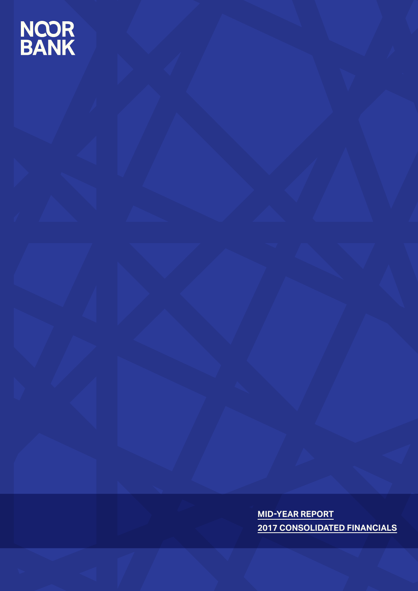# **NCOR<br>BANK**

**MID-YEAR REPORT 2017 CONSOLIDATED FINANCIALS**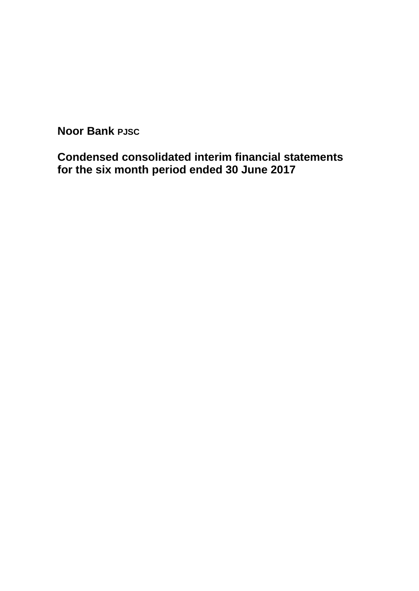**Condensed consolidated interim financial statements for the six month period ended 30 June 2017**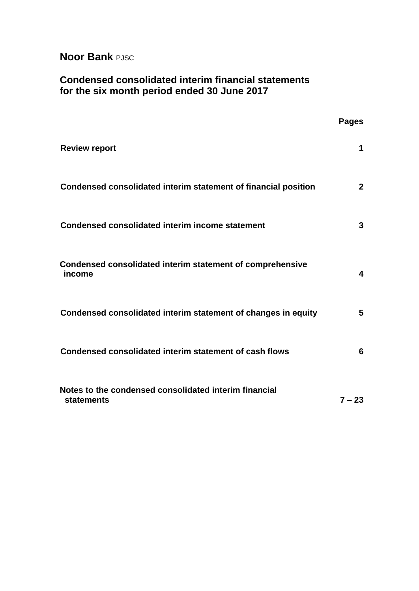# **Condensed consolidated interim financial statements for the six month period ended 30 June 2017**

|                                                                     | <b>Pages</b>   |
|---------------------------------------------------------------------|----------------|
| <b>Review report</b>                                                | 1              |
| Condensed consolidated interim statement of financial position      | 2 <sup>1</sup> |
| <b>Condensed consolidated interim income statement</b>              | 3              |
| Condensed consolidated interim statement of comprehensive<br>income | 4              |
| Condensed consolidated interim statement of changes in equity       | 5              |
| Condensed consolidated interim statement of cash flows              | 6              |
| Notes to the condensed consolidated interim financial<br>statements | $7 - 23$       |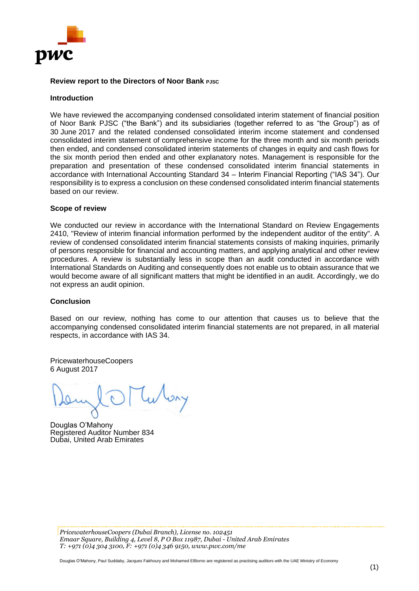

#### **Review report to the Directors of Noor Bank PJSC**

#### **Introduction**

We have reviewed the accompanying condensed consolidated interim statement of financial position of Noor Bank PJSC ("the Bank") and its subsidiaries (together referred to as "the Group") as of 30 June 2017 and the related condensed consolidated interim income statement and condensed consolidated interim statement of comprehensive income for the three month and six month periods then ended, and condensed consolidated interim statements of changes in equity and cash flows for the six month period then ended and other explanatory notes. Management is responsible for the preparation and presentation of these condensed consolidated interim financial statements in accordance with International Accounting Standard 34 – Interim Financial Reporting ("IAS 34"). Our responsibility is to express a conclusion on these condensed consolidated interim financial statements based on our review.

#### **Scope of review**

We conducted our review in accordance with the International Standard on Review Engagements 2410, "Review of interim financial information performed by the independent auditor of the entity". A review of condensed consolidated interim financial statements consists of making inquiries, primarily of persons responsible for financial and accounting matters, and applying analytical and other review procedures. A review is substantially less in scope than an audit conducted in accordance with International Standards on Auditing and consequently does not enable us to obtain assurance that we would become aware of all significant matters that might be identified in an audit. Accordingly, we do not express an audit opinion.

#### **Conclusion**

Based on our review, nothing has come to our attention that causes us to believe that the accompanying condensed consolidated interim financial statements are not prepared, in all material respects, in accordance with IAS 34.

PricewaterhouseCoopers 6 August 2017

Douglas O'Mahony Registered Auditor Number 834 Dubai, United Arab Emirates

*PricewaterhouseCoopers (Dubai Branch), License no. 102451 Emaar Square, Building 4, Level 8, P O Box 11987, Dubai - United Arab Emirates T: +971 (0)4 304 3100, F: +971 (0)4 346 9150, www.pwc.com/me*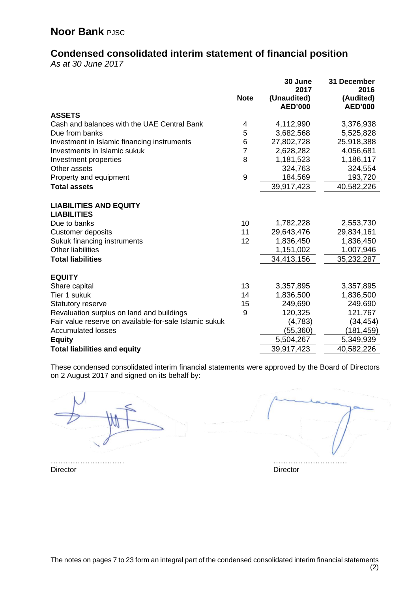# **Condensed consolidated interim statement of financial position**

*As at 30 June 2017*

|                                                        | <b>Note</b>    | 30 June<br>2017<br>(Unaudited)<br><b>AED'000</b> | 31 December<br>2016<br>(Audited)<br><b>AED'000</b> |
|--------------------------------------------------------|----------------|--------------------------------------------------|----------------------------------------------------|
| <b>ASSETS</b>                                          |                |                                                  |                                                    |
| Cash and balances with the UAE Central Bank            | 4              | 4,112,990                                        | 3,376,938                                          |
| Due from banks                                         | 5              | 3,682,568                                        | 5,525,828                                          |
| Investment in Islamic financing instruments            | 6              | 27,802,728                                       | 25,918,388                                         |
| Investments in Islamic sukuk                           | $\overline{7}$ | 2,628,282                                        | 4,056,681                                          |
| Investment properties                                  | 8              | 1,181,523                                        | 1,186,117                                          |
| Other assets                                           |                | 324,763                                          | 324,554                                            |
| Property and equipment                                 | 9              | 184,569                                          | 193,720                                            |
| <b>Total assets</b>                                    |                | 39,917,423                                       | 40,582,226                                         |
| <b>LIABILITIES AND EQUITY</b><br><b>LIABILITIES</b>    |                |                                                  |                                                    |
| Due to banks                                           | 10             | 1,782,228                                        | 2,553,730                                          |
| <b>Customer deposits</b>                               | 11             | 29,643,476                                       | 29,834,161                                         |
| Sukuk financing instruments                            | 12             | 1,836,450                                        | 1,836,450                                          |
| <b>Other liabilities</b>                               |                | 1,151,002                                        | 1,007,946                                          |
| <b>Total liabilities</b>                               |                | 34,413,156                                       | 35,232,287                                         |
| <b>EQUITY</b>                                          |                |                                                  |                                                    |
| Share capital                                          | 13             | 3,357,895                                        | 3,357,895                                          |
| Tier 1 sukuk                                           | 14             | 1,836,500                                        | 1,836,500                                          |
| <b>Statutory reserve</b>                               | 15             | 249,690                                          | 249,690                                            |
| Revaluation surplus on land and buildings              | 9              | 120,325                                          | 121,767                                            |
| Fair value reserve on available-for-sale Islamic sukuk |                | (4,783)                                          | (34, 454)                                          |
| <b>Accumulated losses</b>                              |                | (55,360)                                         | (181, 459)                                         |
| <b>Equity</b>                                          |                | 5,504,267                                        | 5,349,939                                          |
| <b>Total liabilities and equity</b>                    |                | 39,917,423                                       | 40,582,226                                         |

These condensed consolidated interim financial statements were approved by the Board of Directors on 2 August 2017 and signed on its behalf by:

………………………… ………………………… Director Director **Director**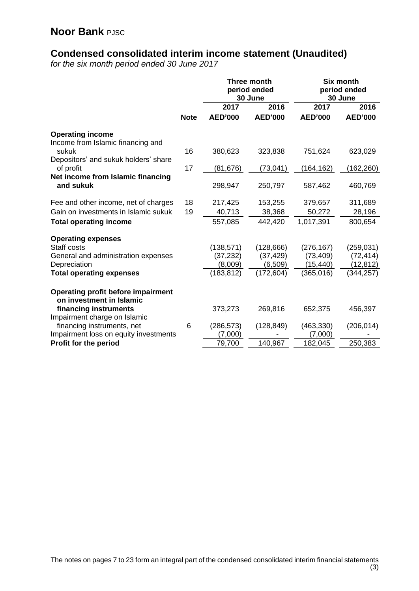# **Condensed consolidated interim income statement (Unaudited)**

*for the six month period ended 30 June 2017*

|                                                |             | Three month<br>period ended<br>30 June |                | <b>Six month</b><br>30 June |                | period ended |
|------------------------------------------------|-------------|----------------------------------------|----------------|-----------------------------|----------------|--------------|
|                                                |             | 2017                                   | 2016           | 2017                        | 2016           |              |
|                                                | <b>Note</b> | <b>AED'000</b>                         | <b>AED'000</b> | <b>AED'000</b>              | <b>AED'000</b> |              |
| <b>Operating income</b>                        |             |                                        |                |                             |                |              |
| Income from Islamic financing and              |             |                                        |                |                             |                |              |
| sukuk                                          | 16          | 380,623                                | 323,838        | 751,624                     | 623,029        |              |
| Depositors' and sukuk holders' share           |             |                                        |                |                             |                |              |
| of profit                                      | 17          | (81, 676)                              | (73, 041)      | (164, 162)                  | (162,260)      |              |
| Net income from Islamic financing<br>and sukuk |             | 298,947                                |                |                             | 460,769        |              |
|                                                |             |                                        | 250,797        | 587,462                     |                |              |
| Fee and other income, net of charges           | 18          | 217,425                                | 153,255        | 379,657                     | 311,689        |              |
| Gain on investments in Islamic sukuk           | 19          | 40,713                                 | 38,368         | 50,272                      | 28,196         |              |
| <b>Total operating income</b>                  |             | 557,085                                | 442,420        | 1,017,391                   | 800,654        |              |
|                                                |             |                                        |                |                             |                |              |
| <b>Operating expenses</b>                      |             |                                        |                |                             |                |              |
| Staff costs                                    |             | (138, 571)                             | (128, 666)     | (276, 167)                  | (259, 031)     |              |
| General and administration expenses            |             | (37, 232)                              | (37, 429)      | (73, 409)                   | (72, 414)      |              |
| Depreciation                                   |             | (8,009)                                | (6,509)        | (15, 440)                   | (12, 812)      |              |
| <b>Total operating expenses</b>                |             | (183, 812)                             | (172, 604)     | (365, 016)                  | (344, 257)     |              |
| Operating profit before impairment             |             |                                        |                |                             |                |              |
| on investment in Islamic                       |             |                                        |                |                             |                |              |
| financing instruments                          |             | 373,273                                | 269,816        | 652,375                     | 456,397        |              |
| Impairment charge on Islamic                   |             |                                        |                |                             |                |              |
| financing instruments, net                     | 6           | (286, 573)                             | (128, 849)     | (463, 330)                  | (206, 014)     |              |
| Impairment loss on equity investments          |             | (7,000)                                |                | (7,000)                     |                |              |
| Profit for the period                          |             | 79,700                                 | 140,967        | 182,045                     | 250,383        |              |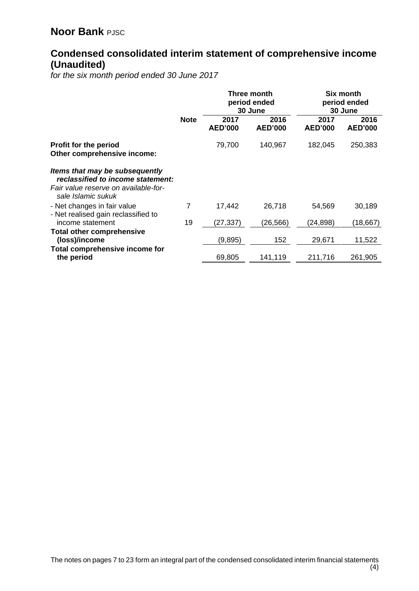# **Condensed consolidated interim statement of comprehensive income (Unaudited)**

*for the six month period ended 30 June 2017*

|                                                                                                                                   |             | Three month<br>period ended<br>30 June |                        | Six month<br>period ended<br>30 June |                        |  |  |
|-----------------------------------------------------------------------------------------------------------------------------------|-------------|----------------------------------------|------------------------|--------------------------------------|------------------------|--|--|
|                                                                                                                                   | <b>Note</b> | 2017<br><b>AED'000</b>                 | 2016<br><b>AED'000</b> | 2017<br><b>AED'000</b>               | 2016<br><b>AED'000</b> |  |  |
| Profit for the period<br>Other comprehensive income:                                                                              |             | 79,700                                 | 140,967                | 182,045                              | 250,383                |  |  |
| Items that may be subsequently<br>reclassified to income statement:<br>Fair value reserve on available-for-<br>sale Islamic sukuk |             |                                        |                        |                                      |                        |  |  |
| - Net changes in fair value<br>- Net realised gain reclassified to                                                                | 7           | 17,442                                 | 26,718                 | 54,569                               | 30,189                 |  |  |
| income statement                                                                                                                  | 19          | (27, 337)                              | (26, 566)              | (24, 898)                            | (18, 667)              |  |  |
| <b>Total other comprehensive</b><br>(loss)/income                                                                                 |             | (9,895)                                | 152                    | 29,671                               | 11,522                 |  |  |
| Total comprehensive income for<br>the period                                                                                      |             | 69,805                                 | 141,119                | 211,716                              | 261,905                |  |  |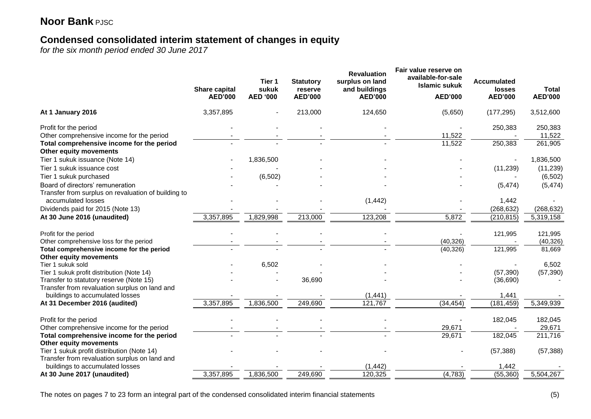## **Condensed consolidated interim statement of changes in equity**

*for the six month period ended 30 June 2017*

|                                                                                             | <b>Share capital</b><br><b>AED'000</b> | Tier 1<br>sukuk<br><b>AED '000</b> | <b>Statutory</b><br>reserve<br><b>AED'000</b> | <b>Revaluation</b><br>surplus on land<br>and buildings<br><b>AED'000</b> | Fair value reserve on<br>available-for-sale<br><b>Islamic sukuk</b><br><b>AED'000</b> | <b>Accumulated</b><br>losses<br><b>AED'000</b> | <b>Total</b><br><b>AED'000</b> |
|---------------------------------------------------------------------------------------------|----------------------------------------|------------------------------------|-----------------------------------------------|--------------------------------------------------------------------------|---------------------------------------------------------------------------------------|------------------------------------------------|--------------------------------|
| At 1 January 2016                                                                           | 3,357,895                              |                                    | 213,000                                       | 124,650                                                                  | (5,650)                                                                               | (177, 295)                                     | 3,512,600                      |
| Profit for the period                                                                       |                                        |                                    |                                               |                                                                          |                                                                                       | 250,383                                        | 250,383                        |
| Other comprehensive income for the period                                                   |                                        |                                    |                                               |                                                                          | 11,522                                                                                |                                                | 11,522                         |
| Total comprehensive income for the period<br>Other equity movements                         |                                        |                                    |                                               |                                                                          | 11,522                                                                                | 250,383                                        | 261,905                        |
| Tier 1 sukuk issuance (Note 14)                                                             |                                        | 1,836,500                          |                                               |                                                                          |                                                                                       |                                                | 1,836,500                      |
| Tier 1 sukuk issuance cost                                                                  |                                        |                                    |                                               |                                                                          |                                                                                       | (11, 239)                                      | (11, 239)                      |
| Tier 1 sukuk purchased                                                                      |                                        | (6, 502)                           |                                               |                                                                          |                                                                                       |                                                | (6, 502)                       |
| Board of directors' remuneration<br>Transfer from surplus on revaluation of building to     |                                        |                                    |                                               |                                                                          |                                                                                       | (5, 474)                                       | (5, 474)                       |
| accumulated losses                                                                          |                                        |                                    |                                               | (1, 442)                                                                 |                                                                                       | 1,442                                          |                                |
| Dividends paid for 2015 (Note 13)                                                           |                                        |                                    |                                               |                                                                          |                                                                                       | (268, 632)                                     | (268, 632)                     |
| At 30 June 2016 (unaudited)                                                                 | 3,357,895                              | 1,829,998                          | 213,000                                       | 123,208                                                                  | 5,872                                                                                 | (210, 815)                                     | 5,319,158                      |
| Profit for the period                                                                       |                                        |                                    |                                               |                                                                          |                                                                                       | 121,995                                        | 121,995                        |
| Other comprehensive loss for the period                                                     |                                        |                                    |                                               |                                                                          | (40, 326)                                                                             |                                                | (40, 326)                      |
| Total comprehensive income for the period<br>Other equity movements                         |                                        |                                    |                                               |                                                                          | (40, 326)                                                                             | 121,995                                        | 81,669                         |
| Tier 1 sukuk sold                                                                           |                                        | 6,502                              |                                               |                                                                          |                                                                                       |                                                | 6,502                          |
| Tier 1 sukuk profit distribution (Note 14)                                                  |                                        |                                    |                                               |                                                                          |                                                                                       | (57, 390)                                      | (57, 390)                      |
| Transfer to statutory reserve (Note 15)                                                     |                                        |                                    | 36,690                                        |                                                                          |                                                                                       | (36, 690)                                      |                                |
| Transfer from revaluation surplus on land and                                               |                                        |                                    |                                               |                                                                          |                                                                                       |                                                |                                |
| buildings to accumulated losses                                                             |                                        |                                    |                                               | (1, 441)                                                                 |                                                                                       | 1,441                                          |                                |
| At 31 December 2016 (audited)                                                               | 3,357,895                              | 1,836,500                          | 249,690                                       | 121,767                                                                  | (34, 454)                                                                             | (181, 459)                                     | 5,349,939                      |
| Profit for the period                                                                       |                                        |                                    |                                               |                                                                          |                                                                                       | 182,045                                        | 182,045                        |
| Other comprehensive income for the period                                                   |                                        |                                    |                                               |                                                                          | 29,671                                                                                |                                                | 29,671                         |
| Total comprehensive income for the period<br>Other equity movements                         |                                        |                                    |                                               |                                                                          | 29,671                                                                                | 182,045                                        | 211,716                        |
| Tier 1 sukuk profit distribution (Note 14)<br>Transfer from revaluation surplus on land and |                                        |                                    |                                               |                                                                          |                                                                                       | (57, 388)                                      | (57, 388)                      |
| buildings to accumulated losses                                                             |                                        |                                    |                                               | (1, 442)                                                                 |                                                                                       | 1,442                                          |                                |
| At 30 June 2017 (unaudited)                                                                 | 3,357,895                              | 1,836,500                          | 249,690                                       | 120,325                                                                  | (4, 783)                                                                              | (55, 360)                                      | 5,504,267                      |
|                                                                                             |                                        |                                    |                                               |                                                                          |                                                                                       |                                                |                                |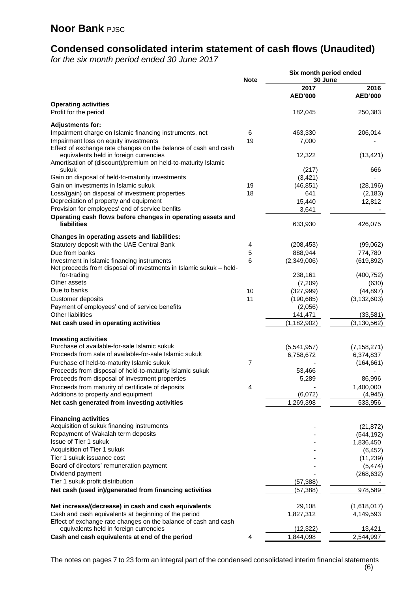## **Condensed consolidated interim statement of cash flows (Unaudited)**

*for the six month period ended 30 June 2017*

|                                                                                                                   | <b>Note</b>    | Six month period ended<br>30 June |                  |
|-------------------------------------------------------------------------------------------------------------------|----------------|-----------------------------------|------------------|
|                                                                                                                   |                | 2017                              | 2016             |
|                                                                                                                   |                | <b>AED'000</b>                    | <b>AED'000</b>   |
| <b>Operating activities</b><br>Profit for the period                                                              |                | 182,045                           | 250,383          |
| <b>Adjustments for:</b>                                                                                           |                |                                   |                  |
| Impairment charge on Islamic financing instruments, net                                                           | 6              | 463,330                           | 206,014          |
| Impairment loss on equity investments                                                                             | 19             | 7,000                             |                  |
| Effect of exchange rate changes on the balance of cash and cash                                                   |                |                                   |                  |
| equivalents held in foreign currencies<br>Amortisation of (discount)/premium on held-to-maturity Islamic<br>sukuk |                | 12,322<br>(217)                   | (13, 421)<br>666 |
| Gain on disposal of held-to-maturity investments                                                                  |                | (3, 421)                          |                  |
| Gain on investments in Islamic sukuk                                                                              | 19             | (46, 851)                         | (28, 196)        |
| Loss/(gain) on disposal of investment properties                                                                  | 18             | 641                               | (2, 183)         |
| Depreciation of property and equipment                                                                            |                | 15,440                            | 12,812           |
| Provision for employees' end of service benfits                                                                   |                | 3,641                             |                  |
| Operating cash flows before changes in operating assets and                                                       |                |                                   |                  |
| liabilities                                                                                                       |                | 633,930                           | 426,075          |
| Changes in operating assets and liabilities:                                                                      |                |                                   |                  |
| Statutory deposit with the UAE Central Bank                                                                       | 4              | (208, 453)                        | (99,062)         |
| Due from banks                                                                                                    | 5              | 888,944                           | 774,780          |
| Investment in Islamic financing instruments<br>Net proceeds from disposal of investments in Islamic sukuk - held- | 6              | (2,349,006)                       | (619, 892)       |
| for-trading                                                                                                       |                | 238,161                           | (400, 752)       |
| Other assets                                                                                                      |                | (7,209)                           | (630)            |
| Due to banks                                                                                                      | 10             | (327, 999)                        | (44, 897)        |
| Customer deposits                                                                                                 | 11             | (190, 685)                        | (3, 132, 603)    |
| Payment of employees' end of service benefits                                                                     |                | (2,056)                           |                  |
| <b>Other liabilities</b>                                                                                          |                | 141,471                           | (33, 581)        |
| Net cash used in operating activities                                                                             |                | (1, 182, 902)                     | (3, 130, 562)    |
| <b>Investing activities</b>                                                                                       |                |                                   |                  |
| Purchase of available-for-sale Islamic sukuk                                                                      |                | (5,541,957)                       | (7, 158, 271)    |
| Proceeds from sale of available-for-sale Islamic sukuk                                                            |                | 6,758,672                         | 6,374,837        |
| Purchase of held-to-maturity Islamic sukuk                                                                        | $\overline{7}$ |                                   | (164, 661)       |
| Proceeds from disposal of held-to-maturity Islamic sukuk                                                          |                | 53,466                            |                  |
| Proceeds from disposal of investment properties                                                                   |                | 5,289                             | 86,996           |
| Proceeds from maturity of certificate of deposits                                                                 | 4              |                                   | 1,400,000        |
| Additions to property and equipment                                                                               |                | (6,072)                           | (4, 945)         |
| Net cash generated from investing activities                                                                      |                | 1,269,398                         | 533,956          |
| <b>Financing activities</b>                                                                                       |                |                                   |                  |
| Acquisition of sukuk financing instruments                                                                        |                |                                   | (21, 872)        |
| Repayment of Wakalah term deposits                                                                                |                |                                   | (544, 192)       |
| Issue of Tier 1 sukuk                                                                                             |                |                                   | 1,836,450        |
| Acquisition of Tier 1 sukuk                                                                                       |                |                                   | (6, 452)         |
| Tier 1 sukuk issuance cost                                                                                        |                |                                   | (11, 239)        |
| Board of directors' remuneration payment                                                                          |                |                                   | (5, 474)         |
| Dividend payment                                                                                                  |                |                                   | (268, 632)       |
| Tier 1 sukuk profit distribution                                                                                  |                | (57, 388)                         |                  |
| Net cash (used in)/generated from financing activities                                                            |                | (57,388)                          | 978,589          |
| Net increase/(decrease) in cash and cash equivalents                                                              |                | 29,108                            | (1,618,017)      |
| Cash and cash equivalents at beginning of the period                                                              |                | 1,827,312                         | 4,149,593        |
| Effect of exchange rate changes on the balance of cash and cash                                                   |                |                                   |                  |
| equivalents held in foreign currencies                                                                            |                | (12, 322)                         | 13,421           |
| Cash and cash equivalents at end of the period                                                                    | 4              | 1,844,098                         | 2,544,997        |

The notes on pages 7 to 23 form an integral part of the condensed consolidated interim financial statements (6)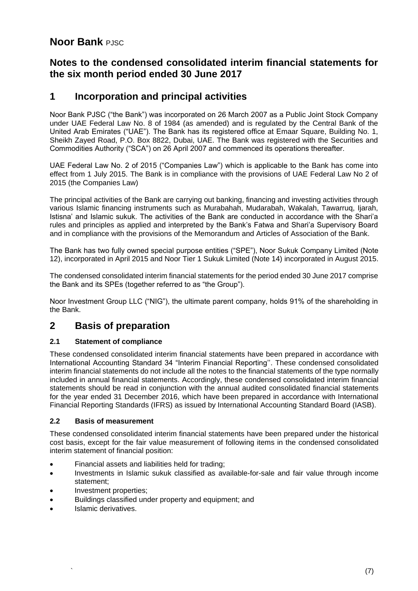#### **Notes to the condensed consolidated interim financial statements for the six month period ended 30 June 2017**

#### **1 Incorporation and principal activities**

Noor Bank PJSC ("the Bank") was incorporated on 26 March 2007 as a Public Joint Stock Company under UAE Federal Law No. 8 of 1984 (as amended) and is regulated by the Central Bank of the United Arab Emirates ("UAE"). The Bank has its registered office at Emaar Square, Building No. 1, Sheikh Zayed Road, P.O. Box 8822, Dubai, UAE. The Bank was registered with the Securities and Commodities Authority ("SCA") on 26 April 2007 and commenced its operations thereafter.

UAE Federal Law No. 2 of 2015 ("Companies Law") which is applicable to the Bank has come into effect from 1 July 2015. The Bank is in compliance with the provisions of UAE Federal Law No 2 of 2015 (the Companies Law)

The principal activities of the Bank are carrying out banking, financing and investing activities through various Islamic financing instruments such as Murabahah, Mudarabah, Wakalah, Tawarruq, Ijarah, Istisna' and Islamic sukuk. The activities of the Bank are conducted in accordance with the Shari'a rules and principles as applied and interpreted by the Bank's Fatwa and Shari'a Supervisory Board and in compliance with the provisions of the Memorandum and Articles of Association of the Bank.

The Bank has two fully owned special purpose entities ("SPE"), Noor Sukuk Company Limited (Note 12), incorporated in April 2015 and Noor Tier 1 Sukuk Limited (Note 14) incorporated in August 2015.

The condensed consolidated interim financial statements for the period ended 30 June 2017 comprise the Bank and its SPEs (together referred to as "the Group").

Noor Investment Group LLC ("NIG"), the ultimate parent company, holds 91% of the shareholding in the Bank.

#### **2 Basis of preparation**

#### **2.1 Statement of compliance**

These condensed consolidated interim financial statements have been prepared in accordance with International Accounting Standard 34 "Interim Financial Reporting''. These condensed consolidated interim financial statements do not include all the notes to the financial statements of the type normally included in annual financial statements. Accordingly, these condensed consolidated interim financial statements should be read in conjunction with the annual audited consolidated financial statements for the year ended 31 December 2016, which have been prepared in accordance with International Financial Reporting Standards (IFRS) as issued by International Accounting Standard Board (IASB).

#### **2.2 Basis of measurement**

These condensed consolidated interim financial statements have been prepared under the historical cost basis, except for the fair value measurement of following items in the condensed consolidated interim statement of financial position:

- Financial assets and liabilities held for trading;
- Investments in Islamic sukuk classified as available-for-sale and fair value through income statement;
- Investment properties;
- Buildings classified under property and equipment; and
- Islamic derivatives.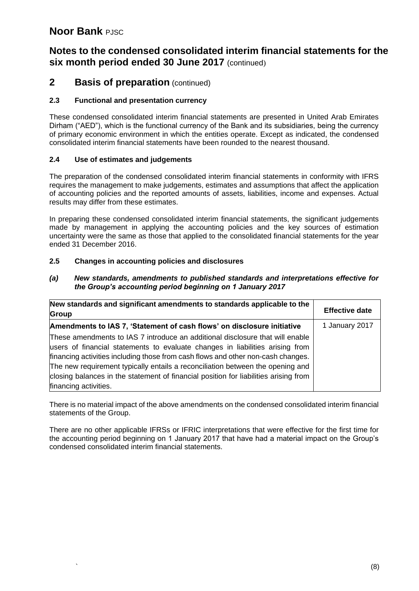#### **Notes to the condensed consolidated interim financial statements for the six month period ended 30 June 2017** (continued)

#### **2 Basis of preparation** (continued)

#### **2.3 Functional and presentation currency**

These condensed consolidated interim financial statements are presented in United Arab Emirates Dirham ("AED"), which is the functional currency of the Bank and its subsidiaries, being the currency of primary economic environment in which the entities operate. Except as indicated, the condensed consolidated interim financial statements have been rounded to the nearest thousand.

#### **2.4 Use of estimates and judgements**

The preparation of the condensed consolidated interim financial statements in conformity with IFRS requires the management to make judgements, estimates and assumptions that affect the application of accounting policies and the reported amounts of assets, liabilities, income and expenses. Actual results may differ from these estimates.

In preparing these condensed consolidated interim financial statements, the significant judgements made by management in applying the accounting policies and the key sources of estimation uncertainty were the same as those that applied to the consolidated financial statements for the year ended 31 December 2016.

#### **2.5 Changes in accounting policies and disclosures**

| (a) | New standards, amendments to published standards and interpretations effective for |
|-----|------------------------------------------------------------------------------------|
|     | the Group's accounting period beginning on 1 January 2017                          |

| New standards and significant amendments to standards applicable to the                                                                                                                                                                                                                                                                                                                                                                               | <b>Effective date</b> |
|-------------------------------------------------------------------------------------------------------------------------------------------------------------------------------------------------------------------------------------------------------------------------------------------------------------------------------------------------------------------------------------------------------------------------------------------------------|-----------------------|
| Group                                                                                                                                                                                                                                                                                                                                                                                                                                                 |                       |
| Amendments to IAS 7, 'Statement of cash flows' on disclosure initiative                                                                                                                                                                                                                                                                                                                                                                               | 1 January 2017        |
| These amendments to IAS 7 introduce an additional disclosure that will enable<br>users of financial statements to evaluate changes in liabilities arising from<br>financing activities including those from cash flows and other non-cash changes.<br>The new requirement typically entails a reconciliation between the opening and<br>closing balances in the statement of financial position for liabilities arising from<br>financing activities. |                       |

There is no material impact of the above amendments on the condensed consolidated interim financial statements of the Group.

There are no other applicable IFRSs or IFRIC interpretations that were effective for the first time for the accounting period beginning on 1 January 2017 that have had a material impact on the Group's condensed consolidated interim financial statements.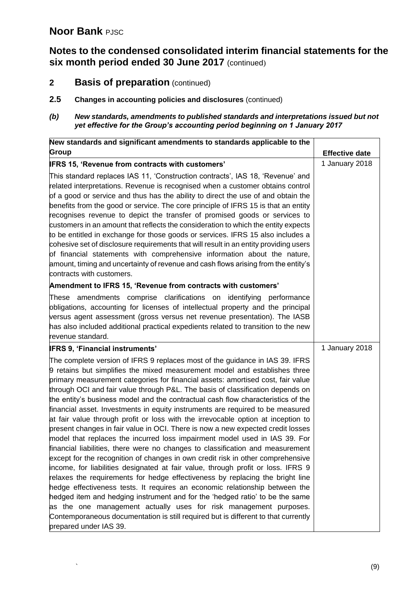## **Notes to the condensed consolidated interim financial statements for the six month period ended 30 June 2017** (continued)

- **2 Basis of preparation** (continued)
- **2.5 Changes in accounting policies and disclosures** (continued)

#### *(b) New standards, amendments to published standards and interpretations issued but not yet effective for the Group's accounting period beginning on 1 January 2017*

| New standards and significant amendments to standards applicable to the                                                                                                                                                                                                                                                                                                                                                                                                                                                                                                                                                                                                                                                                                                                                                                                                                                                                                                                                                                                                                                                                                                                                                                                                                                                                                                                                                                                  |                       |
|----------------------------------------------------------------------------------------------------------------------------------------------------------------------------------------------------------------------------------------------------------------------------------------------------------------------------------------------------------------------------------------------------------------------------------------------------------------------------------------------------------------------------------------------------------------------------------------------------------------------------------------------------------------------------------------------------------------------------------------------------------------------------------------------------------------------------------------------------------------------------------------------------------------------------------------------------------------------------------------------------------------------------------------------------------------------------------------------------------------------------------------------------------------------------------------------------------------------------------------------------------------------------------------------------------------------------------------------------------------------------------------------------------------------------------------------------------|-----------------------|
| <b>Group</b>                                                                                                                                                                                                                                                                                                                                                                                                                                                                                                                                                                                                                                                                                                                                                                                                                                                                                                                                                                                                                                                                                                                                                                                                                                                                                                                                                                                                                                             | <b>Effective date</b> |
| <b>IFRS 15, 'Revenue from contracts with customers'</b>                                                                                                                                                                                                                                                                                                                                                                                                                                                                                                                                                                                                                                                                                                                                                                                                                                                                                                                                                                                                                                                                                                                                                                                                                                                                                                                                                                                                  | 1 January 2018        |
| This standard replaces IAS 11, 'Construction contracts', IAS 18, 'Revenue' and<br>related interpretations. Revenue is recognised when a customer obtains control<br>of a good or service and thus has the ability to direct the use of and obtain the<br>benefits from the good or service. The core principle of IFRS 15 is that an entity<br>recognises revenue to depict the transfer of promised goods or services to<br>customers in an amount that reflects the consideration to which the entity expects<br>to be entitled in exchange for those goods or services. IFRS 15 also includes a<br>cohesive set of disclosure requirements that will result in an entity providing users<br>of financial statements with comprehensive information about the nature,<br>amount, timing and uncertainty of revenue and cash flows arising from the entity's<br>contracts with customers.                                                                                                                                                                                                                                                                                                                                                                                                                                                                                                                                                               |                       |
| Amendment to IFRS 15, 'Revenue from contracts with customers'                                                                                                                                                                                                                                                                                                                                                                                                                                                                                                                                                                                                                                                                                                                                                                                                                                                                                                                                                                                                                                                                                                                                                                                                                                                                                                                                                                                            |                       |
| These amendments comprise clarifications on identifying performance<br>obligations, accounting for licenses of intellectual property and the principal<br>versus agent assessment (gross versus net revenue presentation). The IASB<br>has also included additional practical expedients related to transition to the new<br>revenue standard.                                                                                                                                                                                                                                                                                                                                                                                                                                                                                                                                                                                                                                                                                                                                                                                                                                                                                                                                                                                                                                                                                                           |                       |
| <b>IFRS 9, 'Financial instruments'</b>                                                                                                                                                                                                                                                                                                                                                                                                                                                                                                                                                                                                                                                                                                                                                                                                                                                                                                                                                                                                                                                                                                                                                                                                                                                                                                                                                                                                                   | 1 January 2018        |
| The complete version of IFRS 9 replaces most of the guidance in IAS 39. IFRS<br>9 retains but simplifies the mixed measurement model and establishes three<br>primary measurement categories for financial assets: amortised cost, fair value<br>through OCI and fair value through P&L. The basis of classification depends on<br>the entity's business model and the contractual cash flow characteristics of the<br>financial asset. Investments in equity instruments are required to be measured<br>at fair value through profit or loss with the irrevocable option at inception to<br>present changes in fair value in OCI. There is now a new expected credit losses<br>model that replaces the incurred loss impairment model used in IAS 39. For<br>financial liabilities, there were no changes to classification and measurement<br>except for the recognition of changes in own credit risk in other comprehensive<br>income, for liabilities designated at fair value, through profit or loss. IFRS 9<br>relaxes the requirements for hedge effectiveness by replacing the bright line<br>hedge effectiveness tests. It requires an economic relationship between the<br>hedged item and hedging instrument and for the 'hedged ratio' to be the same<br>as the one management actually uses for risk management purposes.<br>Contemporaneous documentation is still required but is different to that currently<br>prepared under IAS 39. |                       |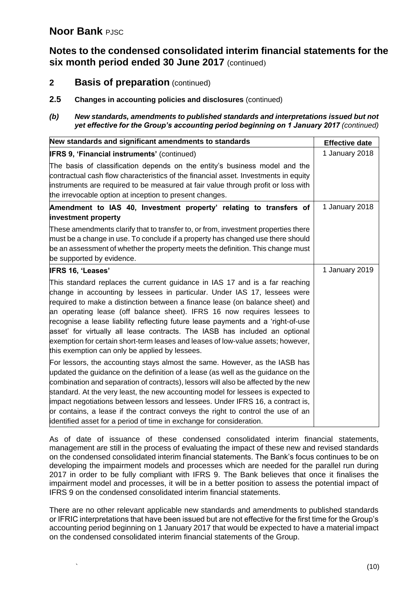#### **Notes to the condensed consolidated interim financial statements for the six month period ended 30 June 2017** (continued)

- **2 Basis of preparation** (continued)
- **2.5 Changes in accounting policies and disclosures** (continued)

#### *(b) New standards, amendments to published standards and interpretations issued but not yet effective for the Group's accounting period beginning on 1 January 2017 (continued)*

| New standards and significant amendments to standards                                                                                                                                                                                                                                                                                                                                                                                                                                                                                                                                                                                                                                                                                                                                             | <b>Effective date</b> |
|---------------------------------------------------------------------------------------------------------------------------------------------------------------------------------------------------------------------------------------------------------------------------------------------------------------------------------------------------------------------------------------------------------------------------------------------------------------------------------------------------------------------------------------------------------------------------------------------------------------------------------------------------------------------------------------------------------------------------------------------------------------------------------------------------|-----------------------|
| <b>IFRS 9, 'Financial instruments' (continued)</b>                                                                                                                                                                                                                                                                                                                                                                                                                                                                                                                                                                                                                                                                                                                                                | 1 January 2018        |
| The basis of classification depends on the entity's business model and the<br>contractual cash flow characteristics of the financial asset. Investments in equity<br>instruments are required to be measured at fair value through profit or loss with<br>the irrevocable option at inception to present changes.                                                                                                                                                                                                                                                                                                                                                                                                                                                                                 |                       |
| Amendment to IAS 40, Investment property' relating to transfers of<br>investment property                                                                                                                                                                                                                                                                                                                                                                                                                                                                                                                                                                                                                                                                                                         | 1 January 2018        |
| These amendments clarify that to transfer to, or from, investment properties there<br>must be a change in use. To conclude if a property has changed use there should<br>be an assessment of whether the property meets the definition. This change must<br>be supported by evidence.                                                                                                                                                                                                                                                                                                                                                                                                                                                                                                             |                       |
| <b>IFRS 16, 'Leases'</b>                                                                                                                                                                                                                                                                                                                                                                                                                                                                                                                                                                                                                                                                                                                                                                          | 1 January 2019        |
| This standard replaces the current guidance in IAS 17 and is a far reaching<br>change in accounting by lessees in particular. Under IAS 17, lessees were<br>required to make a distinction between a finance lease (on balance sheet) and<br>an operating lease (off balance sheet). IFRS 16 now requires lessees to<br>recognise a lease liability reflecting future lease payments and a 'right-of-use<br>asset' for virtually all lease contracts. The IASB has included an optional<br>exemption for certain short-term leases and leases of low-value assets; however,<br>this exemption can only be applied by lessees.<br>For lessors, the accounting stays almost the same. However, as the IASB has<br>updated the guidance on the definition of a lease (as well as the guidance on the |                       |
| combination and separation of contracts), lessors will also be affected by the new<br>standard. At the very least, the new accounting model for lessees is expected to<br>impact negotiations between lessors and lessees. Under IFRS 16, a contract is,<br>or contains, a lease if the contract conveys the right to control the use of an<br>identified asset for a period of time in exchange for consideration.                                                                                                                                                                                                                                                                                                                                                                               |                       |

As of date of issuance of these condensed consolidated interim financial statements, management are still in the process of evaluating the impact of these new and revised standards on the condensed consolidated interim financial statements. The Bank's focus continues to be on developing the impairment models and processes which are needed for the parallel run during 2017 in order to be fully compliant with IFRS 9. The Bank believes that once it finalises the impairment model and processes, it will be in a better position to assess the potential impact of IFRS 9 on the condensed consolidated interim financial statements.

There are no other relevant applicable new standards and amendments to published standards or IFRIC interpretations that have been issued but are not effective for the first time for the Group's accounting period beginning on 1 January 2017 that would be expected to have a material impact on the condensed consolidated interim financial statements of the Group.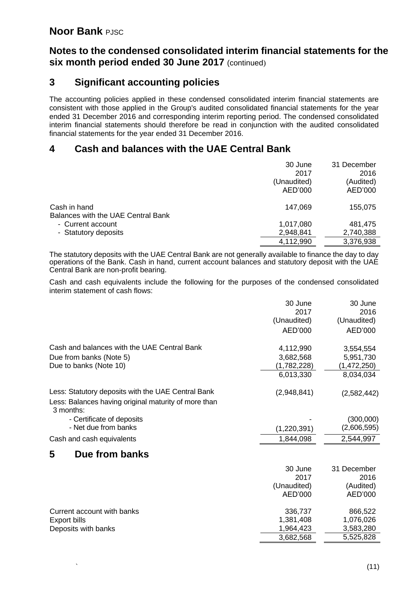#### **Notes to the condensed consolidated interim financial statements for the six month period ended 30 June 2017** (continued)

#### **3 Significant accounting policies**

The accounting policies applied in these condensed consolidated interim financial statements are consistent with those applied in the Group's audited consolidated financial statements for the year ended 31 December 2016 and corresponding interim reporting period. The condensed consolidated interim financial statements should therefore be read in conjunction with the audited consolidated financial statements for the year ended 31 December 2016.

#### **4 Cash and balances with the UAE Central Bank**

|                                           | 30 June<br>2017<br>(Unaudited)<br>AED'000 | 31 December<br>2016<br>(Audited)<br>AED'000 |
|-------------------------------------------|-------------------------------------------|---------------------------------------------|
| Cash in hand                              | 147,069                                   | 155,075                                     |
| <b>Balances with the UAE Central Bank</b> |                                           |                                             |
| - Current account                         | 1,017,080                                 | 481,475                                     |
| - Statutory deposits                      | 2,948,841                                 | 2,740,388                                   |
|                                           | 4,112,990                                 | 3,376,938                                   |
|                                           |                                           |                                             |

The statutory deposits with the UAE Central Bank are not generally available to finance the day to day operations of the Bank. Cash in hand, current account balances and statutory deposit with the UAE Central Bank are non-profit bearing.

Cash and cash equivalents include the following for the purposes of the condensed consolidated interim statement of cash flows:

|                                                                   | 30 June             | 30 June             |
|-------------------------------------------------------------------|---------------------|---------------------|
|                                                                   | 2017<br>(Unaudited) | 2016<br>(Unaudited) |
|                                                                   |                     |                     |
|                                                                   | AED'000             | AED'000             |
| Cash and balances with the UAE Central Bank                       | 4,112,990           | 3,554,554           |
| Due from banks (Note 5)                                           | 3,682,568           | 5,951,730           |
| Due to banks (Note 10)                                            | (1,782,228)         | (1,472,250)         |
|                                                                   | 6,013,330           | 8,034,034           |
| Less: Statutory deposits with the UAE Central Bank                | (2,948,841)         | (2,582,442)         |
| Less: Balances having original maturity of more than<br>3 months: |                     |                     |
| - Certificate of deposits                                         |                     | (300,000)           |
| - Net due from banks                                              | (1,220,391)         | (2,606,595)         |
| Cash and cash equivalents                                         | 1,844,098           | 2,544,997           |
| 5<br>Due from banks                                               |                     |                     |
|                                                                   | 30 June             | 31 December         |
|                                                                   | 2017                | 2016                |
|                                                                   | (Unaudited)         | (Audited)           |
|                                                                   | AED'000             | AED'000             |
| Current account with banks                                        | 336,737             | 866,522             |
| <b>Export bills</b>                                               | 1,381,408           | 1,076,026           |
| Deposits with banks                                               | 1,964,423           | 3,583,280           |
|                                                                   | 3,682,568           | 5,525,828           |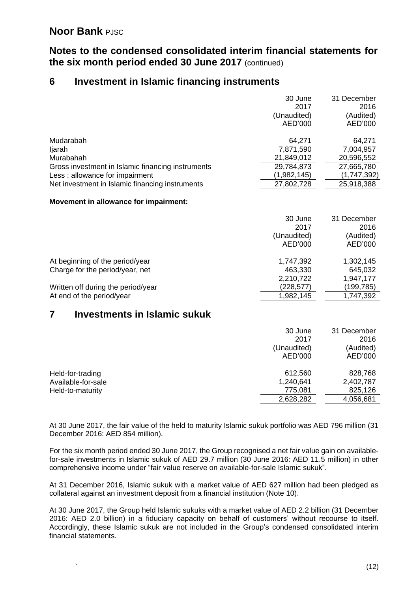#### **Notes to the condensed consolidated interim financial statements for the six month period ended 30 June 2017** (continued)

#### **6 Investment in Islamic financing instruments**

|                                                   | 30 June     | 31 December |
|---------------------------------------------------|-------------|-------------|
|                                                   | 2017        | 2016        |
|                                                   | (Unaudited) | (Audited)   |
|                                                   | AED'000     | AED'000     |
| Mudarabah                                         | 64,271      | 64.271      |
| ljarah                                            | 7,871,590   | 7,004,957   |
| Murabahah                                         | 21,849,012  | 20,596,552  |
| Gross investment in Islamic financing instruments | 29,784,873  | 27,665,780  |
| Less: allowance for impairment                    | (1,982,145) | (1,747,392) |
| Net investment in Islamic financing instruments   | 27,802,728  | 25,918,388  |
| Movement in allowance for impairment:             |             |             |
|                                                   |             |             |

|                                    | 30 June     | 31 December |
|------------------------------------|-------------|-------------|
|                                    | 2017        | 2016        |
|                                    | (Unaudited) | (Audited)   |
|                                    | AED'000     | AED'000     |
| At beginning of the period/year    | 1,747,392   | 1,302,145   |
| Charge for the period/year, net    | 463,330     | 645,032     |
|                                    | 2,210,722   | 1,947,177   |
| Written off during the period/year | (228,577)   | (199,785)   |
| At end of the period/year          | 1,982,145   | 1,747,392   |

#### **7 Investments in Islamic sukuk**

|                                                            | 30 June<br>2017<br>(Unaudited)<br>AED'000    | 31 December<br>2016<br>(Audited)<br>AED'000  |
|------------------------------------------------------------|----------------------------------------------|----------------------------------------------|
| Held-for-trading<br>Available-for-sale<br>Held-to-maturity | 612,560<br>1,240,641<br>775,081<br>2,628,282 | 828,768<br>2,402,787<br>825,126<br>4,056,681 |

At 30 June 2017, the fair value of the held to maturity Islamic sukuk portfolio was AED 796 million (31 December 2016: AED 854 million).

For the six month period ended 30 June 2017, the Group recognised a net fair value gain on availablefor-sale investments in Islamic sukuk of AED 29.7 million (30 June 2016: AED 11.5 million) in other comprehensive income under "fair value reserve on available-for-sale Islamic sukuk".

At 31 December 2016, Islamic sukuk with a market value of AED 627 million had been pledged as collateral against an investment deposit from a financial institution (Note 10).

At 30 June 2017, the Group held Islamic sukuks with a market value of AED 2.2 billion (31 December 2016: AED 2.0 billion) in a fiduciary capacity on behalf of customers' without recourse to itself. Accordingly, these Islamic sukuk are not included in the Group's condensed consolidated interim financial statements.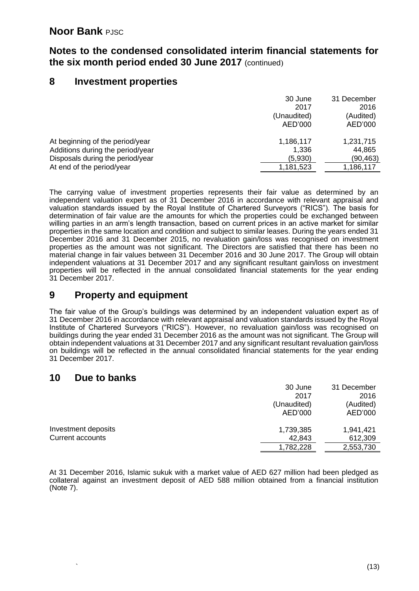#### **Notes to the condensed consolidated interim financial statements for the six month period ended 30 June 2017** (continued)

#### **8 Investment properties**

|                                  | 30 June     | 31 December |
|----------------------------------|-------------|-------------|
|                                  | 2017        | 2016        |
|                                  | (Unaudited) | (Audited)   |
|                                  | AED'000     | AED'000     |
| At beginning of the period/year  | 1,186,117   | 1,231,715   |
| Additions during the period/year | 1,336       | 44,865      |
| Disposals during the period/year | (5,930)     | (90,463)    |
| At end of the period/year        | 1,181,523   | 1,186,117   |
|                                  |             |             |

The carrying value of investment properties represents their fair value as determined by an independent valuation expert as of 31 December 2016 in accordance with relevant appraisal and valuation standards issued by the Royal Institute of Chartered Surveyors ("RICS"). The basis for determination of fair value are the amounts for which the properties could be exchanged between willing parties in an arm's length transaction, based on current prices in an active market for similar properties in the same location and condition and subject to similar leases. During the years ended 31 December 2016 and 31 December 2015, no revaluation gain/loss was recognised on investment properties as the amount was not significant. The Directors are satisfied that there has been no material change in fair values between 31 December 2016 and 30 June 2017. The Group will obtain independent valuations at 31 December 2017 and any significant resultant gain/loss on investment properties will be reflected in the annual consolidated financial statements for the year ending 31 December 2017.

## **9 Property and equipment**

The fair value of the Group's buildings was determined by an independent valuation expert as of 31 December 2016 in accordance with relevant appraisal and valuation standards issued by the Royal Institute of Chartered Surveyors ("RICS"). However, no revaluation gain/loss was recognised on buildings during the year ended 31 December 2016 as the amount was not significant. The Group will obtain independent valuations at 31 December 2017 and any significant resultant revaluation gain/loss on buildings will be reflected in the annual consolidated financial statements for the year ending 31 December 2017.

#### **10 Due to banks**

|                     | 30 June     | 31 December |
|---------------------|-------------|-------------|
|                     | 2017        | 2016        |
|                     | (Unaudited) | (Audited)   |
|                     | AED'000     | AED'000     |
| Investment deposits | 1,739,385   | 1,941,421   |
| Current accounts    | 42,843      | 612,309     |
|                     | 1,782,228   | 2,553,730   |

At 31 December 2016, Islamic sukuk with a market value of AED 627 million had been pledged as collateral against an investment deposit of AED 588 million obtained from a financial institution (Note 7).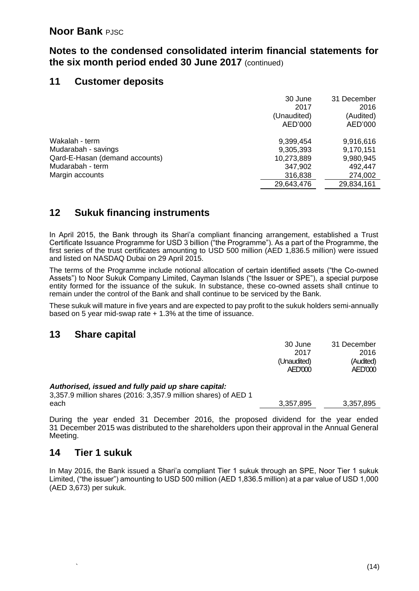#### **Notes to the condensed consolidated interim financial statements for the six month period ended 30 June 2017** (continued)

#### **11 Customer deposits**

|                                | 30 June     | 31 December |
|--------------------------------|-------------|-------------|
|                                | 2017        | 2016        |
|                                | (Unaudited) | (Audited)   |
|                                | AED'000     | AED'000     |
| Wakalah - term                 | 9,399,454   | 9,916,616   |
| Mudarabah - savings            | 9,305,393   | 9,170,151   |
| Qard-E-Hasan (demand accounts) | 10,273,889  | 9,980,945   |
| Mudarabah - term               | 347,902     | 492.447     |
| Margin accounts                | 316,838     | 274,002     |
|                                | 29,643,476  | 29,834,161  |
|                                |             |             |

## **12 Sukuk financing instruments**

In April 2015, the Bank through its Shari'a compliant financing arrangement, established a Trust Certificate Issuance Programme for USD 3 billion ("the Programme"). As a part of the Programme, the first series of the trust certificates amounting to USD 500 million (AED 1,836.5 million) were issued and listed on NASDAQ Dubai on 29 April 2015.

The terms of the Programme include notional allocation of certain identified assets ("the Co-owned Assets") to Noor Sukuk Company Limited, Cayman Islands ("the Issuer or SPE"), a special purpose entity formed for the issuance of the sukuk. In substance, these co-owned assets shall cntinue to remain under the control of the Bank and shall continue to be serviced by the Bank.

These sukuk will mature in five years and are expected to pay profit to the sukuk holders semi-annually based on 5 year mid-swap rate + 1.3% at the time of issuance.

#### **13 Share capital**

|                                                                | 30 June     | 31 December |
|----------------------------------------------------------------|-------------|-------------|
|                                                                | 2017        | 2016        |
|                                                                | (Unaudited) | (Audited)   |
|                                                                | AED'000     | AED'000     |
| Authorised, issued and fully paid up share capital:            |             |             |
| 3,357.9 million shares (2016: 3,357.9 million shares) of AED 1 |             |             |
| each                                                           | 3,357,895   | 3,357,895   |

During the year ended 31 December 2016, the proposed dividend for the year ended 31 December 2015 was distributed to the shareholders upon their approval in the Annual General Meeting.

#### **14 Tier 1 sukuk**

In May 2016, the Bank issued a Shari'a compliant Tier 1 sukuk through an SPE, Noor Tier 1 sukuk Limited, ("the issuer") amounting to USD 500 million (AED 1,836.5 million) at a par value of USD 1,000 (AED 3,673) per sukuk.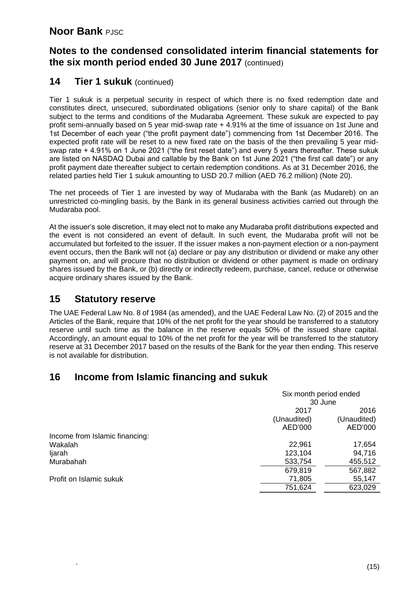#### **Notes to the condensed consolidated interim financial statements for the six month period ended 30 June 2017** (continued)

#### 14 **Tier 1 sukuk** (continued)

Tier 1 sukuk is a perpetual security in respect of which there is no fixed redemption date and constitutes direct, unsecured, subordinated obligations (senior only to share capital) of the Bank subject to the terms and conditions of the Mudaraba Agreement. These sukuk are expected to pay profit semi-annually based on 5 year mid-swap rate + 4.91% at the time of issuance on 1st June and 1st December of each year ("the profit payment date") commencing from 1st December 2016. The expected profit rate will be reset to a new fixed rate on the basis of the then prevailing 5 year midswap rate + 4.91% on 1 June 2021 ("the first reset date") and every 5 years thereafter. These sukuk are listed on NASDAQ Dubai and callable by the Bank on 1st June 2021 ("the first call date") or any profit payment date thereafter subject to certain redemption conditions. As at 31 December 2016, the related parties held Tier 1 sukuk amounting to USD 20.7 million (AED 76.2 million) (Note 20).

The net proceeds of Tier 1 are invested by way of Mudaraba with the Bank (as Mudareb) on an unrestricted co-mingling basis, by the Bank in its general business activities carried out through the Mudaraba pool.

At the issuer's sole discretion, it may elect not to make any Mudaraba profit distributions expected and the event is not considered an event of default. In such event, the Mudaraba profit will not be accumulated but forfeited to the issuer. If the issuer makes a non-payment election or a non-payment event occurs, then the Bank will not (a) declare or pay any distribution or dividend or make any other payment on, and will procure that no distribution or dividend or other payment is made on ordinary shares issued by the Bank, or (b) directly or indirectly redeem, purchase, cancel, reduce or otherwise acquire ordinary shares issued by the Bank.

#### **15 Statutory reserve**

The UAE Federal Law No. 8 of 1984 (as amended), and the UAE Federal Law No. (2) of 2015 and the Articles of the Bank, require that 10% of the net profit for the year should be transferred to a statutory reserve until such time as the balance in the reserve equals 50% of the issued share capital. Accordingly, an amount equal to 10% of the net profit for the year will be transferred to the statutory reserve at 31 December 2017 based on the results of the Bank for the year then ending. This reserve is not available for distribution.

#### **16 Income from Islamic financing and sukuk**

|                                |             | Six month period ended<br>30 June |  |
|--------------------------------|-------------|-----------------------------------|--|
|                                | 2017        | 2016                              |  |
|                                | (Unaudited) | (Unaudited)                       |  |
|                                | AED'000     | AED'000                           |  |
| Income from Islamic financing: |             |                                   |  |
| Wakalah                        | 22,961      | 17,654                            |  |
| ljarah                         | 123,104     | 94,716                            |  |
| Murabahah                      | 533,754     | 455,512                           |  |
|                                | 679,819     | 567,882                           |  |
| Profit on Islamic sukuk        | 71,805      | 55,147                            |  |
|                                | 751,624     | 623,029                           |  |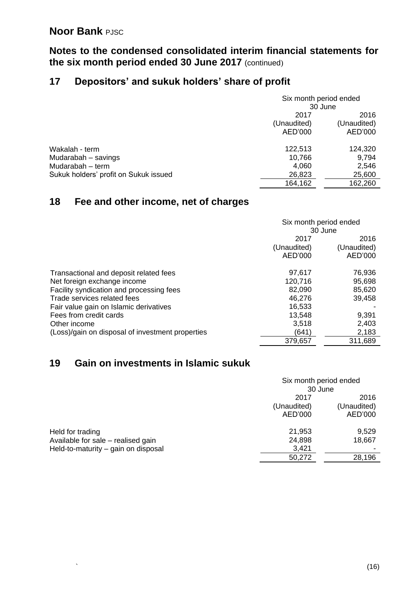**Notes to the condensed consolidated interim financial statements for the six month period ended 30 June 2017** (continued)

## **17 Depositors' and sukuk holders' share of profit**

|                                       | Six month period ended |             |
|---------------------------------------|------------------------|-------------|
|                                       | 30 June                |             |
|                                       | 2017                   | 2016        |
|                                       | (Unaudited)            | (Unaudited) |
|                                       | AED'000                | AED'000     |
| Wakalah - term                        | 122,513                | 124,320     |
| Mudarabah - savings                   | 10,766                 | 9,794       |
| Mudarabah - term                      | 4,060                  | 2,546       |
| Sukuk holders' profit on Sukuk issued | 26,823                 | 25,600      |
|                                       | 164,162                | 162,260     |

# **18 Fee and other income, net of charges**

|                                                  | Six month period ended |             |  |
|--------------------------------------------------|------------------------|-------------|--|
|                                                  | 30 June                |             |  |
|                                                  | 2017                   |             |  |
|                                                  | (Unaudited)            | (Unaudited) |  |
|                                                  | AED'000                | AED'000     |  |
| Transactional and deposit related fees           | 97,617                 | 76,936      |  |
| Net foreign exchange income                      | 120,716<br>95,698      |             |  |
| Facility syndication and processing fees         | 82,090<br>85,620       |             |  |
| Trade services related fees                      | 46,276<br>39,458       |             |  |
| Fair value gain on Islamic derivatives           | 16,533                 |             |  |
| Fees from credit cards                           | 13,548<br>9,391        |             |  |
| Other income                                     | 3,518                  | 2,403       |  |
| (Loss)/gain on disposal of investment properties | (641)                  | 2,183       |  |
|                                                  | 379,657                | 311,689     |  |

# **19 Gain on investments in Islamic sukuk**

|                                     |             | Six month period ended |  |
|-------------------------------------|-------------|------------------------|--|
|                                     |             | 30 June                |  |
|                                     | 2017        | 2016                   |  |
|                                     | (Unaudited) | (Unaudited)            |  |
|                                     | AED'000     | AED'000                |  |
| Held for trading                    | 21,953      | 9,529                  |  |
| Available for sale - realised gain  | 24,898      | 18,667                 |  |
| Held-to-maturity - gain on disposal | 3,421       |                        |  |
|                                     | 50,272      | 28,196                 |  |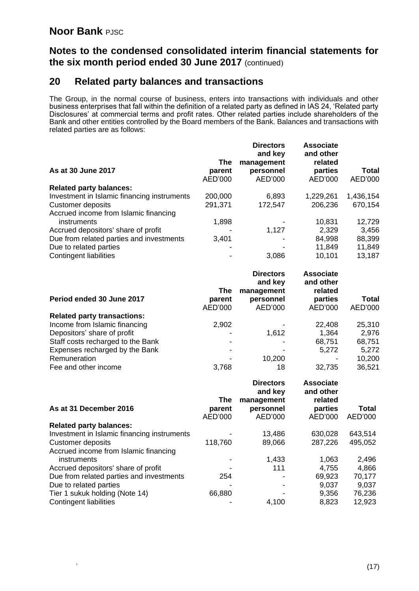#### **Notes to the condensed consolidated interim financial statements for the six month period ended 30 June 2017** (continued)

#### **20 Related party balances and transactions**

The Group, in the normal course of business, enters into transactions with individuals and other business enterprises that fall within the definition of a related party as defined in IAS 24, 'Related party Disclosures' at commercial terms and profit rates. Other related parties include shareholders of the Bank and other entities controlled by the Board members of the Bank. Balances and transactions with related parties are as follows:

|                                             |         | <b>Directors</b><br>and key | <b>Associate</b><br>and other |           |
|---------------------------------------------|---------|-----------------------------|-------------------------------|-----------|
|                                             | The     | management                  | related                       |           |
| As at 30 June 2017                          | parent  | personnel                   | parties                       | Total     |
|                                             | AED'000 | AED'000                     | AED'000                       | AED'000   |
| <b>Related party balances:</b>              |         |                             |                               |           |
| Investment in Islamic financing instruments | 200,000 | 6,893                       | 1,229,261                     | 1,436,154 |
| Customer deposits                           | 291,371 | 172,547                     | 206,236                       | 670,154   |
| Accrued income from Islamic financing       |         |                             |                               |           |
| instruments                                 | 1,898   |                             | 10,831                        | 12,729    |
| Accrued depositors' share of profit         |         | 1,127                       | 2,329                         | 3,456     |
| Due from related parties and investments    | 3,401   |                             | 84,998                        | 88,399    |
| Due to related parties                      | -       |                             | 11,849                        | 11,849    |
| Contingent liabilities                      |         | 3,086                       | 10,101                        | 13,187    |
|                                             |         |                             |                               |           |

|                                    |               | <b>Directors</b><br>and key | <b>Associate</b><br>and other |         |
|------------------------------------|---------------|-----------------------------|-------------------------------|---------|
| Period ended 30 June 2017          | The<br>parent | management<br>personnel     | related<br>parties            | Total   |
|                                    | AED'000       | AED'000                     | AED'000                       | AED'000 |
| <b>Related party transactions:</b> |               |                             |                               |         |
| Income from Islamic financing      | 2,902         |                             | 22,408                        | 25,310  |
| Depositors' share of profit        |               | 1,612                       | 1,364                         | 2,976   |
| Staff costs recharged to the Bank  | ۰.            |                             | 68,751                        | 68,751  |
| Expenses recharged by the Bank     |               |                             | 5,272                         | 5,272   |
| Remuneration                       |               | 10,200                      |                               | 10,200  |
| Fee and other income               | 3,768         | 18                          | 32,735                        | 36,521  |

| Total   |
|---------|
| AED'000 |
|         |
| 643,514 |
| 495,052 |
|         |
| 2,496   |
| 4,866   |
| 70,177  |
| 9,037   |
| 76,236  |
| 12,923  |
|         |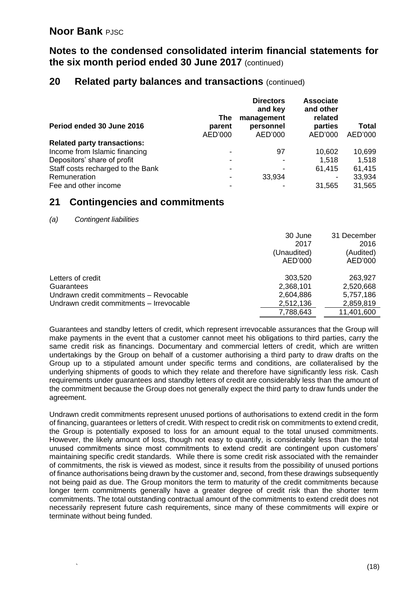**Notes to the condensed consolidated interim financial statements for the six month period ended 30 June 2017** (continued)

#### **20 Related party balances and transactions** (continued)

|                                    | The                      | <b>Directors</b><br>and key<br>management | <b>Associate</b><br>and other<br>related |              |
|------------------------------------|--------------------------|-------------------------------------------|------------------------------------------|--------------|
| Period ended 30 June 2016          | parent                   | personnel                                 | parties                                  | <b>Total</b> |
|                                    | AED'000                  | AED'000                                   | AED'000                                  | AED'000      |
| <b>Related party transactions:</b> |                          |                                           |                                          |              |
| Income from Islamic financing      | $\blacksquare$           | 97                                        | 10,602                                   | 10,699       |
| Depositors' share of profit        | $\overline{\phantom{0}}$ | $\overline{\phantom{0}}$                  | 1,518                                    | 1,518        |
| Staff costs recharged to the Bank  | $\overline{\phantom{0}}$ | -                                         | 61,415                                   | 61,415       |
| Remuneration                       | $\overline{\phantom{0}}$ | 33,934                                    |                                          | 33,934       |
| Fee and other income               | -                        |                                           | 31,565                                   | 31,565       |

#### **21 Contingencies and commitments**

*<sup>(</sup>a) Contingent liabilities*

|                                          | 30 June<br>2017<br>(Unaudited)<br>AED'000 | 31 December<br>2016<br>(Audited)<br>AED'000 |
|------------------------------------------|-------------------------------------------|---------------------------------------------|
| Letters of credit                        | 303,520                                   | 263,927                                     |
| Guarantees                               | 2,368,101                                 | 2,520,668                                   |
| Undrawn credit commitments - Revocable   | 2,604,886                                 | 5,757,186                                   |
| Undrawn credit commitments - Irrevocable | 2,512,136                                 | 2,859,819                                   |
|                                          | 7,788,643                                 | 11,401,600                                  |

Guarantees and standby letters of credit, which represent irrevocable assurances that the Group will make payments in the event that a customer cannot meet his obligations to third parties, carry the same credit risk as financings. Documentary and commercial letters of credit, which are written undertakings by the Group on behalf of a customer authorising a third party to draw drafts on the Group up to a stipulated amount under specific terms and conditions, are collateralised by the underlying shipments of goods to which they relate and therefore have significantly less risk. Cash requirements under guarantees and standby letters of credit are considerably less than the amount of the commitment because the Group does not generally expect the third party to draw funds under the agreement.

Undrawn credit commitments represent unused portions of authorisations to extend credit in the form of financing, guarantees or letters of credit. With respect to credit risk on commitments to extend credit, the Group is potentially exposed to loss for an amount equal to the total unused commitments. However, the likely amount of loss, though not easy to quantify, is considerably less than the total unused commitments since most commitments to extend credit are contingent upon customers' maintaining specific credit standards. While there is some credit risk associated with the remainder of commitments, the risk is viewed as modest, since it results from the possibility of unused portions of finance authorisations being drawn by the customer and, second, from these drawings subsequently not being paid as due. The Group monitors the term to maturity of the credit commitments because longer term commitments generally have a greater degree of credit risk than the shorter term commitments. The total outstanding contractual amount of the commitments to extend credit does not necessarily represent future cash requirements, since many of these commitments will expire or terminate without being funded.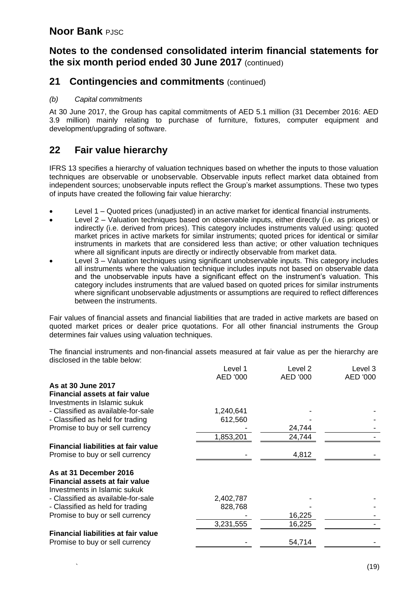#### **Notes to the condensed consolidated interim financial statements for the six month period ended 30 June 2017** (continued)

#### **21 Contingencies and commitments (continued)**

#### *(b) Capital commitments*

At 30 June 2017, the Group has capital commitments of AED 5.1 million (31 December 2016: AED 3.9 million) mainly relating to purchase of furniture, fixtures, computer equipment and development/upgrading of software.

#### **22 Fair value hierarchy**

IFRS 13 specifies a hierarchy of valuation techniques based on whether the inputs to those valuation techniques are observable or unobservable. Observable inputs reflect market data obtained from independent sources; unobservable inputs reflect the Group's market assumptions. These two types of inputs have created the following fair value hierarchy:

- Level 1 Quoted prices (unadjusted) in an active market for identical financial instruments.
- Level 2 Valuation techniques based on observable inputs, either directly (i.e. as prices) or indirectly (i.e. derived from prices). This category includes instruments valued using: quoted market prices in active markets for similar instruments; quoted prices for identical or similar instruments in markets that are considered less than active; or other valuation techniques where all significant inputs are directly or indirectly observable from market data.
- Level 3 Valuation techniques using significant unobservable inputs. This category includes all instruments where the valuation technique includes inputs not based on observable data and the unobservable inputs have a significant effect on the instrument's valuation. This category includes instruments that are valued based on quoted prices for similar instruments where significant unobservable adjustments or assumptions are required to reflect differences between the instruments.

Fair values of financial assets and financial liabilities that are traded in active markets are based on quoted market prices or dealer price quotations. For all other financial instruments the Group determines fair values using valuation techniques.

The financial instruments and non-financial assets measured at fair value as per the hierarchy are disclosed in the table below:

|                                            | Level 1   | Level 2  | Level 3  |
|--------------------------------------------|-----------|----------|----------|
|                                            | AED '000  | AED '000 | AED '000 |
| As at 30 June 2017                         |           |          |          |
| Financial assets at fair value             |           |          |          |
| Investments in Islamic sukuk               |           |          |          |
| - Classified as available-for-sale         | 1,240,641 |          |          |
| - Classified as held for trading           | 612,560   |          |          |
| Promise to buy or sell currency            |           | 24,744   |          |
|                                            | 1,853,201 | 24,744   |          |
| <b>Financial liabilities at fair value</b> |           |          |          |
| Promise to buy or sell currency            |           | 4,812    |          |
| As at 31 December 2016                     |           |          |          |
| <b>Financial assets at fair value</b>      |           |          |          |
| Investments in Islamic sukuk               |           |          |          |
| - Classified as available-for-sale         | 2,402,787 |          |          |
| - Classified as held for trading           | 828,768   |          |          |
| Promise to buy or sell currency            |           | 16,225   |          |
|                                            | 3,231,555 | 16,225   |          |
| Financial liabilities at fair value        |           |          |          |
| Promise to buy or sell currency            |           | 54,714   |          |
|                                            |           |          |          |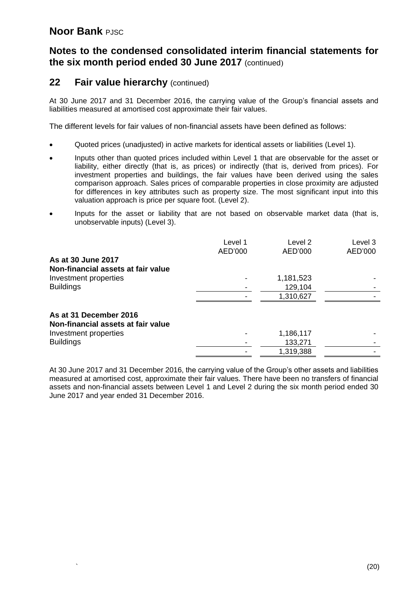#### **Notes to the condensed consolidated interim financial statements for the six month period ended 30 June 2017** (continued)

#### **22 Fair value hierarchy** (continued)

At 30 June 2017 and 31 December 2016, the carrying value of the Group's financial assets and liabilities measured at amortised cost approximate their fair values.

The different levels for fair values of non-financial assets have been defined as follows:

- Quoted prices (unadjusted) in active markets for identical assets or liabilities (Level 1).
- Inputs other than quoted prices included within Level 1 that are observable for the asset or liability, either directly (that is, as prices) or indirectly (that is, derived from prices). For investment properties and buildings, the fair values have been derived using the sales comparison approach. Sales prices of comparable properties in close proximity are adjusted for differences in key attributes such as property size. The most significant input into this valuation approach is price per square foot. (Level 2).
- Inputs for the asset or liability that are not based on observable market data (that is, unobservable inputs) (Level 3).

|                                                              | Level 1<br>AED'000 | Level 2<br>AED'000 | Level 3<br>AED'000 |
|--------------------------------------------------------------|--------------------|--------------------|--------------------|
| As at 30 June 2017<br>Non-financial assets at fair value     |                    |                    |                    |
| Investment properties                                        |                    | 1,181,523          |                    |
| <b>Buildings</b>                                             |                    | 129,104            |                    |
|                                                              |                    | 1,310,627          |                    |
| As at 31 December 2016<br>Non-financial assets at fair value |                    |                    |                    |
| Investment properties                                        |                    | 1,186,117          |                    |
| <b>Buildings</b>                                             |                    | 133,271            |                    |
|                                                              |                    | 1,319,388          |                    |

At 30 June 2017 and 31 December 2016, the carrying value of the Group's other assets and liabilities measured at amortised cost, approximate their fair values. There have been no transfers of financial assets and non-financial assets between Level 1 and Level 2 during the six month period ended 30 June 2017 and year ended 31 December 2016.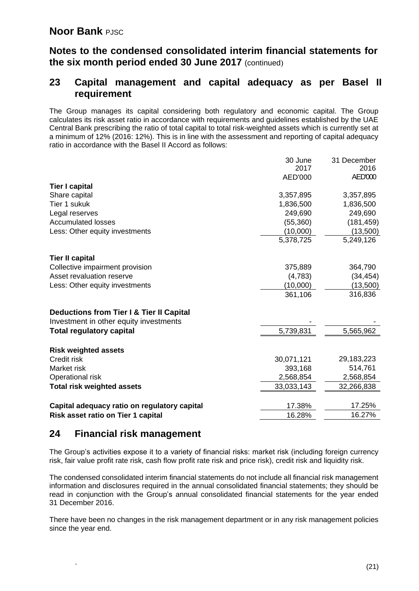#### **Notes to the condensed consolidated interim financial statements for the six month period ended 30 June 2017** (continued)

#### **23 Capital management and capital adequacy as per Basel II requirement**

The Group manages its capital considering both regulatory and economic capital. The Group calculates its risk asset ratio in accordance with requirements and guidelines established by the UAE Central Bank prescribing the ratio of total capital to total risk-weighted assets which is currently set at a minimum of 12% (2016: 12%). This is in line with the assessment and reporting of capital adequacy ratio in accordance with the Basel II Accord as follows:

|                                              | 30 June<br>2017<br>AED'000 | 31 December<br>2016<br><b>AED'000</b> |
|----------------------------------------------|----------------------------|---------------------------------------|
| <b>Tier I capital</b>                        |                            |                                       |
| Share capital                                | 3,357,895                  | 3,357,895                             |
| Tier 1 sukuk                                 | 1,836,500                  | 1,836,500                             |
| Legal reserves                               | 249,690                    | 249,690                               |
| <b>Accumulated losses</b>                    | (55, 360)                  | (181, 459)                            |
| Less: Other equity investments               | (10,000)                   | (13,500)                              |
|                                              | 5,378,725                  | 5,249,126                             |
| <b>Tier II capital</b>                       |                            |                                       |
| Collective impairment provision              | 375,889                    | 364,790                               |
| Asset revaluation reserve                    | (4,783)                    | (34, 454)                             |
| Less: Other equity investments               | (10,000)                   | (13,500)                              |
|                                              | 361,106                    | 316,836                               |
| Deductions from Tier I & Tier II Capital     |                            |                                       |
| Investment in other equity investments       |                            |                                       |
| <b>Total regulatory capital</b>              | 5,739,831                  | 5,565,962                             |
| <b>Risk weighted assets</b>                  |                            |                                       |
| Credit risk                                  | 30,071,121                 | 29,183,223                            |
| Market risk                                  | 393,168                    | 514,761                               |
| Operational risk                             | 2,568,854                  | 2,568,854                             |
| <b>Total risk weighted assets</b>            | 33,033,143                 | 32,266,838                            |
| Capital adequacy ratio on regulatory capital | 17.38%                     | 17.25%                                |
| Risk asset ratio on Tier 1 capital           | 16.28%                     | 16.27%                                |
|                                              |                            |                                       |

#### **24 Financial risk management**

The Group's activities expose it to a variety of financial risks: market risk (including foreign currency risk, fair value profit rate risk, cash flow profit rate risk and price risk), credit risk and liquidity risk.

The condensed consolidated interim financial statements do not include all financial risk management information and disclosures required in the annual consolidated financial statements; they should be read in conjunction with the Group's annual consolidated financial statements for the year ended 31 December 2016.

There have been no changes in the risk management department or in any risk management policies since the year end.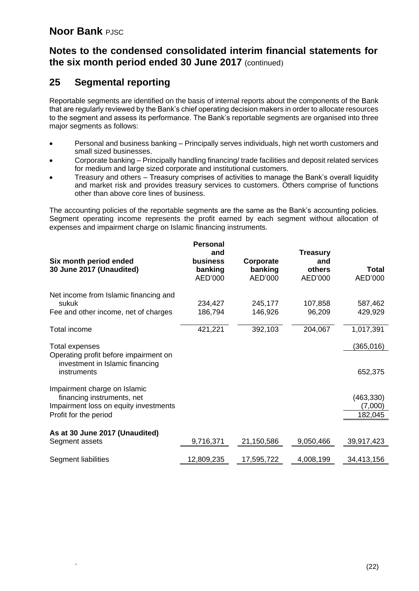#### **Notes to the condensed consolidated interim financial statements for the six month period ended 30 June 2017** (continued)

#### **25 Segmental reporting**

Reportable segments are identified on the basis of internal reports about the components of the Bank that are regularly reviewed by the Bank's chief operating decision makers in order to allocate resources to the segment and assess its performance. The Bank's reportable segments are organised into three major segments as follows:

- Personal and business banking Principally serves individuals, high net worth customers and small sized businesses.
- Corporate banking Principally handling financing/ trade facilities and deposit related services for medium and large sized corporate and institutional customers.
- Treasury and others Treasury comprises of activities to manage the Bank's overall liquidity and market risk and provides treasury services to customers. Others comprise of functions other than above core lines of business.

The accounting policies of the reportable segments are the same as the Bank's accounting policies. Segment operating income represents the profit earned by each segment without allocation of expenses and impairment charge on Islamic financing instruments.

| Six month period ended                                                                              | <b>Personal</b><br>and<br>business | Corporate          | <b>Treasury</b><br>and |                       |
|-----------------------------------------------------------------------------------------------------|------------------------------------|--------------------|------------------------|-----------------------|
| 30 June 2017 (Unaudited)                                                                            | banking<br>AED'000                 | banking<br>AED'000 | others<br>AED'000      | Total<br>AED'000      |
| Net income from Islamic financing and<br>sukuk                                                      | 234,427                            | 245,177            | 107,858                | 587,462               |
| Fee and other income, net of charges                                                                | 186,794                            | 146,926            | 96,209                 | 429,929               |
| Total income                                                                                        | 421,221                            | 392,103            | 204,067                | 1,017,391             |
| <b>Total expenses</b><br>Operating profit before impairment on<br>investment in Islamic financing   |                                    |                    |                        | (365,016)             |
| instruments                                                                                         |                                    |                    |                        | 652,375               |
| Impairment charge on Islamic<br>financing instruments, net<br>Impairment loss on equity investments |                                    |                    |                        | (463, 330)<br>(7,000) |
| Profit for the period                                                                               |                                    |                    |                        | 182,045               |
| As at 30 June 2017 (Unaudited)<br>Segment assets                                                    | 9,716,371                          | 21,150,586         | 9,050,466              | 39,917,423            |
|                                                                                                     |                                    |                    |                        |                       |
| Segment liabilities                                                                                 | 12,809,235                         | 17,595,722         | 4,008,199              | 34,413,156            |